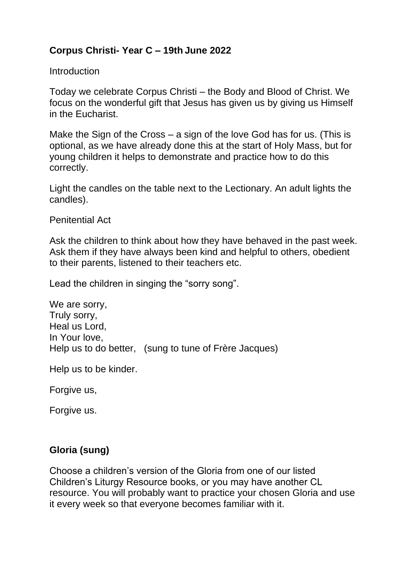## **Corpus Christi- Year C – 19th June 2022**

**Introduction** 

Today we celebrate Corpus Christi – the Body and Blood of Christ. We focus on the wonderful gift that Jesus has given us by giving us Himself in the Eucharist.

Make the Sign of the Cross – a sign of the love God has for us. (This is optional, as we have already done this at the start of Holy Mass, but for young children it helps to demonstrate and practice how to do this correctly.

Light the candles on the table next to the Lectionary. An adult lights the candles).

Penitential Act

Ask the children to think about how they have behaved in the past week. Ask them if they have always been kind and helpful to others, obedient to their parents, listened to their teachers etc.

Lead the children in singing the "sorry song".

We are sorry, Truly sorry, Heal us Lord, In Your love, Help us to do better, (sung to tune of Frère Jacques)

Help us to be kinder.

Forgive us,

Forgive us.

#### **Gloria (sung)**

Choose a children's version of the Gloria from one of our listed Children's Liturgy Resource books, or you may have another CL resource. You will probably want to practice your chosen Gloria and use it every week so that everyone becomes familiar with it.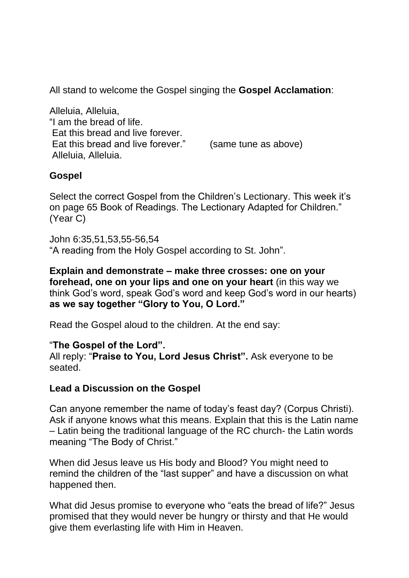All stand to welcome the Gospel singing the **Gospel Acclamation**:

Alleluia, Alleluia, "I am the bread of life. Eat this bread and live forever. Eat this bread and live forever." (same tune as above) Alleluia, Alleluia.

### **Gospel**

Select the correct Gospel from the Children's Lectionary. This week it's on page 65 Book of Readings. The Lectionary Adapted for Children." (Year C)

John 6:35,51,53,55-56,54 "A reading from the Holy Gospel according to St. John".

**Explain and demonstrate – make three crosses: one on your forehead, one on your lips and one on your heart** (in this way we think God's word, speak God's word and keep God's word in our hearts) **as we say together "Glory to You, O Lord."** 

Read the Gospel aloud to the children. At the end say:

#### "**The Gospel of the Lord".**

All reply: "**Praise to You, Lord Jesus Christ".** Ask everyone to be seated.

#### **Lead a Discussion on the Gospel**

Can anyone remember the name of today's feast day? (Corpus Christi). Ask if anyone knows what this means. Explain that this is the Latin name – Latin being the traditional language of the RC church- the Latin words meaning "The Body of Christ."

When did Jesus leave us His body and Blood? You might need to remind the children of the "last supper" and have a discussion on what happened then.

What did Jesus promise to everyone who "eats the bread of life?" Jesus promised that they would never be hungry or thirsty and that He would give them everlasting life with Him in Heaven.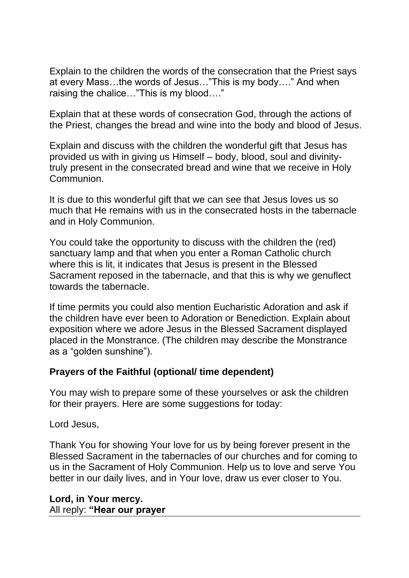Explain to the children the words of the consecration that the Priest says at every Mass…the words of Jesus…"This is my body…." And when raising the chalice…"This is my blood…."

Explain that at these words of consecration God, through the actions of the Priest, changes the bread and wine into the body and blood of Jesus.

Explain and discuss with the children the wonderful gift that Jesus has provided us with in giving us Himself – body, blood, soul and divinitytruly present in the consecrated bread and wine that we receive in Holy Communion.

It is due to this wonderful gift that we can see that Jesus loves us so much that He remains with us in the consecrated hosts in the tabernacle and in Holy Communion.

You could take the opportunity to discuss with the children the (red) sanctuary lamp and that when you enter a Roman Catholic church where this is lit, it indicates that Jesus is present in the Blessed Sacrament reposed in the tabernacle, and that this is why we genuflect towards the tabernacle.

If time permits you could also mention Eucharistic Adoration and ask if the children have ever been to Adoration or Benediction. Explain about exposition where we adore Jesus in the Blessed Sacrament displayed placed in the Monstrance. (The children may describe the Monstrance as a "golden sunshine").

#### **Prayers of the Faithful (optional/ time dependent)**

You may wish to prepare some of these yourselves or ask the children for their prayers. Here are some suggestions for today:

Lord Jesus,

Thank You for showing Your love for us by being forever present in the Blessed Sacrament in the tabernacles of our churches and for coming to us in the Sacrament of Holy Communion. Help us to love and serve You better in our daily lives, and in Your love, draw us ever closer to You.

**Lord, in Your mercy.** All reply: **"Hear our prayer**